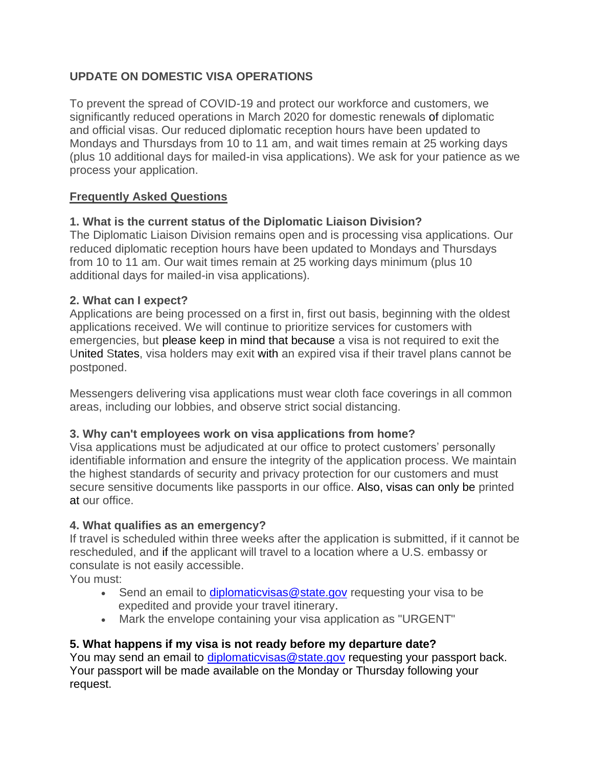# **UPDATE ON DOMESTIC VISA OPERATIONS**

To prevent the spread of COVID-19 and protect our workforce and customers, we significantly reduced operations in March 2020 for domestic renewals of diplomatic and official visas. Our reduced diplomatic reception hours have been updated to Mondays and Thursdays from 10 to 11 am, and wait times remain at 25 working days (plus 10 additional days for mailed-in visa applications). We ask for your patience as we process your application.

### **Frequently Asked Questions**

### **1. What is the current status of the Diplomatic Liaison Division?**

The Diplomatic Liaison Division remains open and is processing visa applications. Our reduced diplomatic reception hours have been updated to Mondays and Thursdays from 10 to 11 am. Our wait times remain at 25 working days minimum (plus 10 additional days for mailed-in visa applications).

### **2. What can I expect?**

Applications are being processed on a first in, first out basis, beginning with the oldest applications received. We will continue to prioritize services for customers with emergencies, but please keep in mind that because a visa is not required to exit the United States, visa holders may exit with an expired visa if their travel plans cannot be postponed.

Messengers delivering visa applications must wear cloth face coverings in all common areas, including our lobbies, and observe strict social distancing.

### **3. Why can't employees work on visa applications from home?**

Visa applications must be adjudicated at our office to protect customers' personally identifiable information and ensure the integrity of the application process. We maintain the highest standards of security and privacy protection for our customers and must secure sensitive documents like passports in our office. Also, visas can only be printed at our office.

### **4. What qualifies as an emergency?**

If travel is scheduled within three weeks after the application is submitted, if it cannot be rescheduled, and if the applicant will travel to a location where a U.S. embassy or consulate is not easily accessible.

You must:

- Send an email to [diplomaticvisas@state.gov](mailto:diplomaticvisas@state.gov) requesting your visa to be expedited and provide your travel itinerary.
- Mark the envelope containing your visa application as "URGENT"

## **5. What happens if my visa is not ready before my departure date?**

You may send an email to [diplomaticvisas@state.gov](mailto:diplomaticvisas@state.gov) requesting your passport back. Your passport will be made available on the Monday or Thursday following your request.